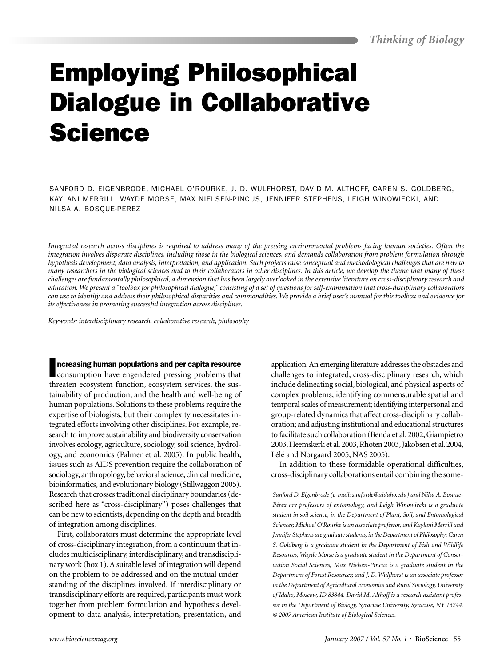# Employing Philosophical Dialogue in Collaborative Science

SANFORD D. EIGENBRODE, MICHAEL O'ROURKE, J. D. WULFHORST, DAVID M. ALTHOFF, CAREN S. GOLDBERG, KAYLANI MERRILL, WAYDE MORSE, MAX NIELSEN-PINCUS, JENNIFER STEPHENS, LEIGH WINOWIECKI, AND NILSA A. BOSQUE-PÉREZ

*Integrated research across disciplines is required to address many of the pressing environmental problems facing human societies. Often the integration involves disparate disciplines, including those in the biological sciences, and demands collaboration from problem formulation through hypothesis development, data analysis, interpretation, and application. Such projects raise conceptual and methodological challenges that are new to many researchers in the biological sciences and to their collaborators in other disciplines. In this article, we develop the theme that many of these challenges are fundamentally philosophical, a dimension that has been largely overlooked in the extensive literature on cross-disciplinary research and education. We present a "toolbox for philosophical dialogue," consisting of a set of questions for self-examination that cross-disciplinary collaborators can use to identify and address their philosophical disparities and commonalities. We provide a brief user's manual for this toolbox and evidence for its effectiveness in promoting successful integration across disciplines.*

*Keywords: interdisciplinary research, collaborative research, philosophy*

I ncreasing human populations and per capita resource consumption have engendered pressing problems that threaten ecosystem function, ecosystem services, the sustainability of production, and the health and well-being of human populations. Solutions to these problems require the expertise of biologists, but their complexity necessitates integrated efforts involving other disciplines. For example, research to improve sustainability and biodiversity conservation involves ecology, agriculture, sociology, soil science, hydrology, and economics (Palmer et al. 2005). In public health, issues such as AIDS prevention require the collaboration of sociology, anthropology, behavioral science, clinical medicine, bioinformatics, and evolutionary biology (Stillwaggon 2005). Research that crosses traditional disciplinary boundaries (described here as "cross-disciplinary") poses challenges that can be new to scientists, depending on the depth and breadth of integration among disciplines.

First, collaborators must determine the appropriate level of cross-disciplinary integration, from a continuum that includes multidisciplinary, interdisciplinary, and transdisciplinary work (box 1). A suitable level of integration will depend on the problem to be addressed and on the mutual understanding of the disciplines involved. If interdisciplinary or transdisciplinary efforts are required, participants must work together from problem formulation and hypothesis development to data analysis, interpretation, presentation, and application.An emerging literature addresses the obstacles and challenges to integrated, cross-disciplinary research, which include delineating social, biological, and physical aspects of complex problems; identifying commensurable spatial and temporal scales of measurement; identifying interpersonal and group-related dynamics that affect cross-disciplinary collaboration; and adjusting institutional and educational structures to facilitate such collaboration (Benda et al. 2002, Giampietro 2003, Heemskerk et al. 2003, Rhoten 2003, Jakobsen et al. 2004, Lélé and Norgaard 2005, NAS 2005).

In addition to these formidable operational difficulties, cross-disciplinary collaborations entail combining the some-

*Sanford D. Eigenbrode (e-mail: sanforde@uidaho.edu) and Nilsa A. Bosque-Pérez are professors of entomology, and Leigh Winowiecki is a graduate student in soil science, in the Department of Plant, Soil, and Entomological Sciences; Michael O'Rourke is an associate professor, and Kaylani Merrill and Jennifer Stephens are graduate students, in the Department of Philosophy; Caren S. Goldberg is a graduate student in the Department of Fish and Wildlife Resources; Wayde Morse is a graduate student in the Department of Conservation Social Sciences; Max Nielsen-Pincus is a graduate student in the Department of Forest Resources; and J. D. Wulfhorst is an associate professor in the Department of Agricultural Economics and Rural Sociology, University of Idaho, Moscow, ID 83844. David M. Althoff is a research assistant professor in the Department of Biology, Syracuse University, Syracuse, NY 13244. © 2007 American Institute of Biological Sciences.*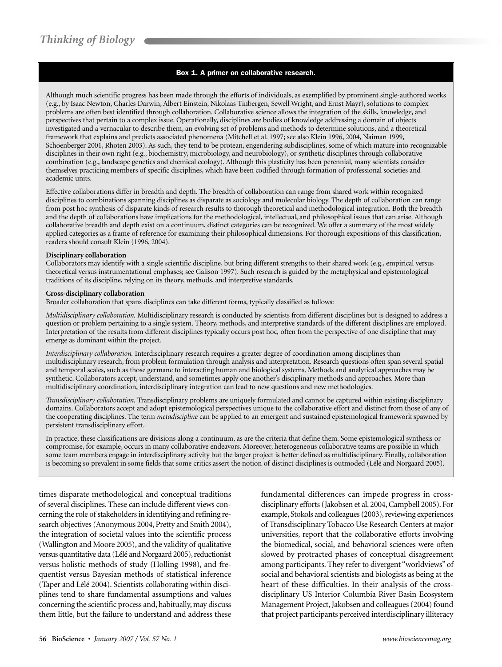#### Box 1. A primer on collaborative research.

Although much scientific progress has been made through the efforts of individuals, as exemplified by prominent single-authored works (e.g., by Isaac Newton, Charles Darwin, Albert Einstein, Nikolaas Tinbergen, Sewell Wright, and Ernst Mayr), solutions to complex problems are often best identified through collaboration. Collaborative science allows the integration of the skills, knowledge, and perspectives that pertain to a complex issue. Operationally, disciplines are bodies of knowledge addressing a domain of objects investigated and a vernacular to describe them, an evolving set of problems and methods to determine solutions, and a theoretical framework that explains and predicts associated phenomena (Mitchell et al. 1997; see also Klein 1996, 2004, Naiman 1999, Schoenberger 2001, Rhoten 2003). As such, they tend to be protean, engendering subdisciplines, some of which mature into recognizable disciplines in their own right (e.g., biochemistry, microbiology, and neurobiology), or synthetic disciplines through collaborative combination (e.g., landscape genetics and chemical ecology). Although this plasticity has been perennial, many scientists consider themselves practicing members of specific disciplines, which have been codified through formation of professional societies and academic units.

Effective collaborations differ in breadth and depth. The breadth of collaboration can range from shared work within recognized disciplines to combinations spanning disciplines as disparate as sociology and molecular biology. The depth of collaboration can range from post hoc synthesis of disparate kinds of research results to thorough theoretical and methodological integration. Both the breadth and the depth of collaborations have implications for the methodological, intellectual, and philosophical issues that can arise. Although collaborative breadth and depth exist on a continuum, distinct categories can be recognized. We offer a summary of the most widely applied categories as a frame of reference for examining their philosophical dimensions. For thorough expositions of this classification, readers should consult Klein (1996, 2004).

#### **Disciplinary collaboration**

Collaborators may identify with a single scientific discipline, but bring different strengths to their shared work (e.g., empirical versus theoretical versus instrumentational emphases; see Galison 1997). Such research is guided by the metaphysical and epistemological traditions of its discipline, relying on its theory, methods, and interpretive standards.

#### **Cross-disciplinary collaboration**

Broader collaboration that spans disciplines can take different forms, typically classified as follows:

*Multidisciplinary collaboration.* Multidisciplinary research is conducted by scientists from different disciplines but is designed to address a question or problem pertaining to a single system. Theory, methods, and interpretive standards of the different disciplines are employed. Interpretation of the results from different disciplines typically occurs post hoc*,* often from the perspective of one discipline that may emerge as dominant within the project.

*Interdisciplinary collaboration.* Interdisciplinary research requires a greater degree of coordination among disciplines than multidisciplinary research, from problem formulation through analysis and interpretation. Research questions often span several spatial and temporal scales, such as those germane to interacting human and biological systems. Methods and analytical approaches may be synthetic. Collaborators accept, understand, and sometimes apply one another's disciplinary methods and approaches. More than multidisciplinary coordination, interdisciplinary integration can lead to new questions and new methodologies.

*Transdisciplinary collaboration.* Transdisciplinary problems are uniquely formulated and cannot be captured within existing disciplinary domains. Collaborators accept and adopt epistemological perspectives unique to the collaborative effort and distinct from those of any of the cooperating disciplines. The term *metadiscipline* can be applied to an emergent and sustained epistemological framework spawned by persistent transdisciplinary effort.

In practice, these classifications are divisions along a continuum, as are the criteria that define them. Some epistemological synthesis or compromise, for example, occurs in many collaborative endeavors. Moreover, heterogeneous collaborative teams are possible in which some team members engage in interdisciplinary activity but the larger project is better defined as multidisciplinary. Finally, collaboration is becoming so prevalent in some fields that some critics assert the notion of distinct disciplines is outmoded (Lélé and Norgaard 2005).

times disparate methodological and conceptual traditions of several disciplines. These can include different views concerning the role of stakeholders in identifying and refining research objectives (Anonymous 2004, Pretty and Smith 2004), the integration of societal values into the scientific process (Wallington and Moore 2005), and the validity of qualitative versus quantitative data (Lélé and Norgaard 2005), reductionist versus holistic methods of study (Holling 1998), and frequentist versus Bayesian methods of statistical inference (Taper and Lélé 2004). Scientists collaborating within disciplines tend to share fundamental assumptions and values concerning the scientific process and, habitually, may discuss them little, but the failure to understand and address these fundamental differences can impede progress in crossdisciplinary efforts (Jakobsen et al. 2004, Campbell 2005). For example, Stokols and colleagues (2003), reviewing experiences of Transdisciplinary Tobacco Use Research Centers at major universities, report that the collaborative efforts involving the biomedical, social, and behavioral sciences were often slowed by protracted phases of conceptual disagreement among participants. They refer to divergent "worldviews" of social and behavioral scientists and biologists as being at the heart of these difficulties. In their analysis of the crossdisciplinary US Interior Columbia River Basin Ecosystem Management Project, Jakobsen and colleagues (2004) found that project participants perceived interdisciplinary illiteracy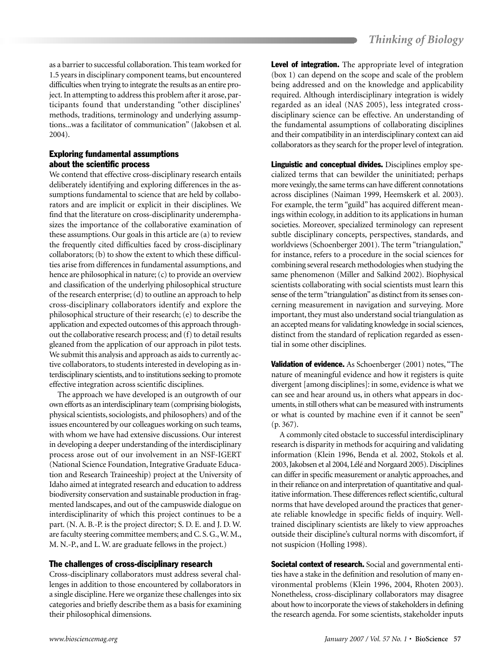as a barrier to successful collaboration. This team worked for 1.5 years in disciplinary component teams, but encountered difficulties when trying to integrate the results as an entire project. In attempting to address this problem after it arose, participants found that understanding "other disciplines' methods, traditions, terminology and underlying assumptions...was a facilitator of communication" (Jakobsen et al. 2004).

## Exploring fundamental assumptions about the scientific process

We contend that effective cross-disciplinary research entails deliberately identifying and exploring differences in the assumptions fundamental to science that are held by collaborators and are implicit or explicit in their disciplines. We find that the literature on cross-disciplinarity underemphasizes the importance of the collaborative examination of these assumptions. Our goals in this article are (a) to review the frequently cited difficulties faced by cross-disciplinary collaborators; (b) to show the extent to which these difficulties arise from differences in fundamental assumptions, and hence are philosophical in nature; (c) to provide an overview and classification of the underlying philosophical structure of the research enterprise; (d) to outline an approach to help cross-disciplinary collaborators identify and explore the philosophical structure of their research; (e) to describe the application and expected outcomes of this approach throughout the collaborative research process; and (f) to detail results gleaned from the application of our approach in pilot tests. We submit this analysis and approach as aids to currently active collaborators, to students interested in developing as interdisciplinary scientists, and to institutions seeking to promote effective integration across scientific disciplines.

The approach we have developed is an outgrowth of our own efforts as an interdisciplinary team (comprising biologists, physical scientists, sociologists, and philosophers) and of the issues encountered by our colleagues working on such teams, with whom we have had extensive discussions. Our interest in developing a deeper understanding of the interdisciplinary process arose out of our involvement in an NSF-IGERT (National Science Foundation, Integrative Graduate Education and Research Traineeship) project at the University of Idaho aimed at integrated research and education to address biodiversity conservation and sustainable production in fragmented landscapes, and out of the campuswide dialogue on interdisciplinarity of which this project continues to be a part. (N. A. B.-P. is the project director; S. D. E. and J. D. W. are faculty steering committee members; and C. S. G., W. M., M. N.-P., and L. W. are graduate fellows in the project.)

#### The challenges of cross-disciplinary research

Cross-disciplinary collaborators must address several challenges in addition to those encountered by collaborators in a single discipline. Here we organize these challenges into six categories and briefly describe them as a basis for examining their philosophical dimensions.

Level of integration. The appropriate level of integration (box 1) can depend on the scope and scale of the problem being addressed and on the knowledge and applicability required. Although interdisciplinary integration is widely regarded as an ideal (NAS 2005), less integrated crossdisciplinary science can be effective. An understanding of the fundamental assumptions of collaborating disciplines and their compatibility in an interdisciplinary context can aid collaborators as they search for the proper level of integration.

Linguistic and conceptual divides. Disciplines employ specialized terms that can bewilder the uninitiated; perhaps more vexingly, the same terms can have different connotations across disciplines (Naiman 1999, Heemskerk et al. 2003). For example, the term "guild" has acquired different meanings within ecology, in addition to its applications in human societies. Moreover, specialized terminology can represent subtle disciplinary concepts, perspectives, standards, and worldviews (Schoenberger 2001). The term "triangulation," for instance, refers to a procedure in the social sciences for combining several research methodologies when studying the same phenomenon (Miller and Salkind 2002). Biophysical scientists collaborating with social scientists must learn this sense of the term "triangulation"as distinct from its senses concerning measurement in navigation and surveying. More important, they must also understand social triangulation as an accepted means for validating knowledge in social sciences, distinct from the standard of replication regarded as essential in some other disciplines.

Validation of evidence. As Schoenberger (2001) notes, "The nature of meaningful evidence and how it registers is quite divergent [among disciplines]: in some, evidence is what we can see and hear around us, in others what appears in documents, in still others what can be measured with instruments or what is counted by machine even if it cannot be seen" (p. 367).

A commonly cited obstacle to successful interdisciplinary research is disparity in methods for acquiring and validating information (Klein 1996, Benda et al. 2002, Stokols et al. 2003, Jakobsen et al 2004, Lélé and Norgaard 2005). Disciplines can differ in specific measurement or analytic approaches, and in their reliance on and interpretation of quantitative and qualitative information. These differences reflect scientific, cultural norms that have developed around the practices that generate reliable knowledge in specific fields of inquiry. Welltrained disciplinary scientists are likely to view approaches outside their discipline's cultural norms with discomfort, if not suspicion (Holling 1998).

**Societal context of research.** Social and governmental entities have a stake in the definition and resolution of many environmental problems (Klein 1996, 2004, Rhoten 2003). Nonetheless, cross-disciplinary collaborators may disagree about how to incorporate the views of stakeholders in defining the research agenda. For some scientists, stakeholder inputs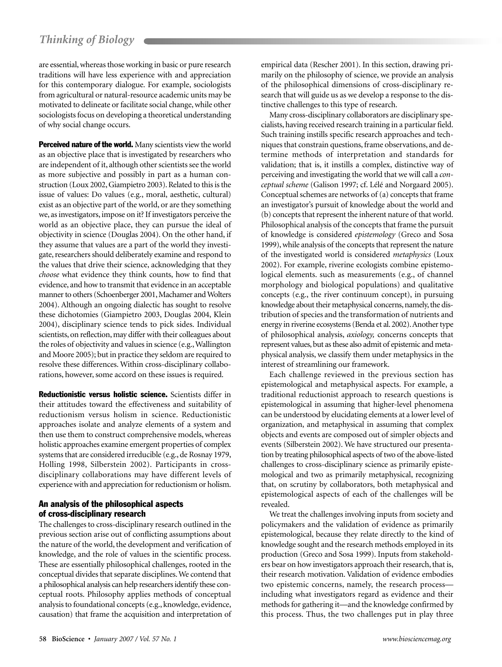are essential, whereas those working in basic or pure research traditions will have less experience with and appreciation for this contemporary dialogue. For example, sociologists from agricultural or natural-resource academic units may be motivated to delineate or facilitate social change, while other sociologists focus on developing a theoretical understanding of why social change occurs.

Perceived nature of the world. Many scientists view the world as an objective place that is investigated by researchers who are independent of it, although other scientists see the world as more subjective and possibly in part as a human construction (Loux 2002, Giampietro 2003). Related to this is the issue of values: Do values (e.g., moral, aesthetic, cultural) exist as an objective part of the world, or are they something we, as investigators, impose on it? If investigators perceive the world as an objective place, they can pursue the ideal of objectivity in science (Douglas 2004). On the other hand, if they assume that values are a part of the world they investigate, researchers should deliberately examine and respond to the values that drive their science, acknowledging that they *choose* what evidence they think counts, how to find that evidence, and how to transmit that evidence in an acceptable manner to others (Schoenberger 2001, Machamer and Wolters 2004). Although an ongoing dialectic has sought to resolve these dichotomies (Giampietro 2003, Douglas 2004, Klein 2004), disciplinary science tends to pick sides. Individual scientists, on reflection, may differ with their colleagues about the roles of objectivity and values in science (e.g., Wallington and Moore 2005); but in practice they seldom are required to resolve these differences. Within cross-disciplinary collaborations, however, some accord on these issues is required.

Reductionistic versus holistic science. Scientists differ in their attitudes toward the effectiveness and suitability of reductionism versus holism in science. Reductionistic approaches isolate and analyze elements of a system and then use them to construct comprehensive models, whereas holistic approaches examine emergent properties of complex systems that are considered irreducible (e.g., de Rosnay 1979, Holling 1998, Silberstein 2002). Participants in crossdisciplinary collaborations may have different levels of experience with and appreciation for reductionism or holism.

## An analysis of the philosophical aspects of cross-disciplinary research

The challenges to cross-disciplinary research outlined in the previous section arise out of conflicting assumptions about the nature of the world, the development and verification of knowledge, and the role of values in the scientific process. These are essentially philosophical challenges, rooted in the conceptual divides that separate disciplines. We contend that a philosophical analysis can help researchers identify these conceptual roots. Philosophy applies methods of conceptual analysis to foundational concepts (e.g., knowledge, evidence, causation) that frame the acquisition and interpretation of empirical data (Rescher 2001). In this section, drawing primarily on the philosophy of science, we provide an analysis of the philosophical dimensions of cross-disciplinary research that will guide us as we develop a response to the distinctive challenges to this type of research.

Many cross-disciplinary collaborators are disciplinary specialists, having received research training in a particular field. Such training instills specific research approaches and techniques that constrain questions, frame observations, and determine methods of interpretation and standards for validation; that is, it instills a complex, distinctive way of perceiving and investigating the world that we will call a *conceptual scheme* (Galison 1997; cf. Lélé and Norgaard 2005). Conceptual schemes are networks of (a) concepts that frame an investigator's pursuit of knowledge about the world and (b) concepts that represent the inherent nature of that world. Philosophical analysis of the concepts that frame the pursuit of knowledge is considered *epistemology* (Greco and Sosa 1999), while analysis of the concepts that represent the nature of the investigated world is considered *metaphysics* (Loux 2002). For example, riverine ecologists combine epistemological elements. such as measurements (e.g., of channel morphology and biological populations) and qualitative concepts (e.g., the river continuum concept), in pursuing knowledge about their metaphysical concerns, namely, the distribution of species and the transformation of nutrients and energy in riverine ecosystems (Benda et al. 2002).Another type of philosophical analysis, *axiology,* concerns concepts that represent values, but as these also admit of epistemic and metaphysical analysis, we classify them under metaphysics in the interest of streamlining our framework.

Each challenge reviewed in the previous section has epistemological and metaphysical aspects. For example, a traditional reductionist approach to research questions is epistemological in assuming that higher-level phenomena can be understood by elucidating elements at a lower level of organization, and metaphysical in assuming that complex objects and events are composed out of simpler objects and events (Silberstein 2002). We have structured our presentation by treating philosophical aspects of two of the above-listed challenges to cross-disciplinary science as primarily epistemological and two as primarily metaphysical, recognizing that, on scrutiny by collaborators, both metaphysical and epistemological aspects of each of the challenges will be revealed.

We treat the challenges involving inputs from society and policymakers and the validation of evidence as primarily epistemological, because they relate directly to the kind of knowledge sought and the research methods employed in its production (Greco and Sosa 1999). Inputs from stakeholders bear on how investigators approach their research, that is, their research motivation. Validation of evidence embodies two epistemic concerns, namely, the research process including what investigators regard as evidence and their methods for gathering it—and the knowledge confirmed by this process. Thus, the two challenges put in play three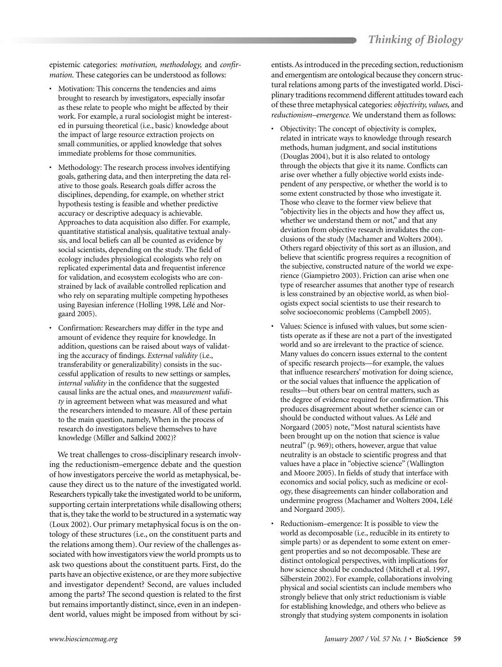epistemic categories: *motivation, methodology,* and *confirmation.* These categories can be understood as follows:

- Motivation: This concerns the tendencies and aims brought to research by investigators, especially insofar as these relate to people who might be affected by their work. For example, a rural sociologist might be interested in pursuing theoretical (i.e., basic) knowledge about the impact of large resource extraction projects on small communities, or applied knowledge that solves immediate problems for those communities.
- Methodology: The research process involves identifying goals, gathering data, and then interpreting the data relative to those goals. Research goals differ across the disciplines, depending, for example, on whether strict hypothesis testing is feasible and whether predictive accuracy or descriptive adequacy is achievable. Approaches to data acquisition also differ. For example, quantitative statistical analysis, qualitative textual analysis, and local beliefs can all be counted as evidence by social scientists, depending on the study. The field of ecology includes physiological ecologists who rely on replicated experimental data and frequentist inference for validation, and ecosystem ecologists who are constrained by lack of available controlled replication and who rely on separating multiple competing hypotheses using Bayesian inference (Holling 1998, Lélé and Norgaard 2005).
- Confirmation: Researchers may differ in the type and amount of evidence they require for knowledge. In addition, questions can be raised about ways of validating the accuracy of findings. *External validity* (i.e., transferability or generalizability) consists in the successful application of results to new settings or samples, *internal validity* in the confidence that the suggested causal links are the actual ones, and *measurement validity* in agreement between what was measured and what the researchers intended to measure. All of these pertain to the main question, namely, When in the process of research do investigators believe themselves to have knowledge (Miller and Salkind 2002)?

We treat challenges to cross-disciplinary research involving the reductionism–emergence debate and the question of how investigators perceive the world as metaphysical, because they direct us to the nature of the investigated world. Researchers typically take the investigated world to be uniform, supporting certain interpretations while disallowing others; that is, they take the world to be structured in a systematic way (Loux 2002). Our primary metaphysical focus is on the ontology of these structures (i.e., on the constituent parts and the relations among them). Our review of the challenges associated with how investigators view the world prompts us to ask two questions about the constituent parts. First, do the parts have an objective existence, or are they more subjective and investigator dependent? Second, are values included among the parts? The second question is related to the first but remains importantly distinct, since, even in an independent world, values might be imposed from without by scientists. As introduced in the preceding section, reductionism and emergentism are ontological because they concern structural relations among parts of the investigated world. Disciplinary traditions recommend different attitudes toward each of these three metaphysical categories: *objectivity, values,* and *reductionism–emergence.* We understand them as follows:

- Objectivity: The concept of objectivity is complex, related in intricate ways to knowledge through research methods, human judgment, and social institutions (Douglas 2004), but it is also related to ontology through the objects that give it its name. Conflicts can arise over whether a fully objective world exists independent of any perspective, or whether the world is to some extent constructed by those who investigate it. Those who cleave to the former view believe that "objectivity lies in the objects and how they affect us, whether we understand them or not," and that any deviation from objective research invalidates the conclusions of the study (Machamer and Wolters 2004). Others regard objectivity of this sort as an illusion, and believe that scientific progress requires a recognition of the subjective, constructed nature of the world we experience (Giampietro 2003). Friction can arise when one type of researcher assumes that another type of research is less constrained by an objective world, as when biologists expect social scientists to use their research to solve socioeconomic problems (Campbell 2005).
- Values: Science is infused with values, but some scientists operate as if these are not a part of the investigated world and so are irrelevant to the practice of science. Many values do concern issues external to the content of specific research projects—for example, the values that influence researchers' motivation for doing science, or the social values that influence the application of results—but others bear on central matters, such as the degree of evidence required for confirmation. This produces disagreement about whether science can or should be conducted without values. As Lélé and Norgaard (2005) note, "Most natural scientists have been brought up on the notion that science is value neutral" (p. 969); others, however, argue that value neutrality is an obstacle to scientific progress and that values have a place in "objective science" (Wallington and Moore 2005). In fields of study that interface with economics and social policy, such as medicine or ecology, these disagreements can hinder collaboration and undermine progress (Machamer and Wolters 2004, Lélé and Norgaard 2005).
- Reductionism–emergence: It is possible to view the world as decomposable (i.e., reducible in its entirety to simple parts) or as dependent to some extent on emergent properties and so not decomposable. These are distinct ontological perspectives, with implications for how science should be conducted (Mitchell et al. 1997, Silberstein 2002). For example, collaborations involving physical and social scientists can include members who strongly believe that only strict reductionism is viable for establishing knowledge, and others who believe as strongly that studying system components in isolation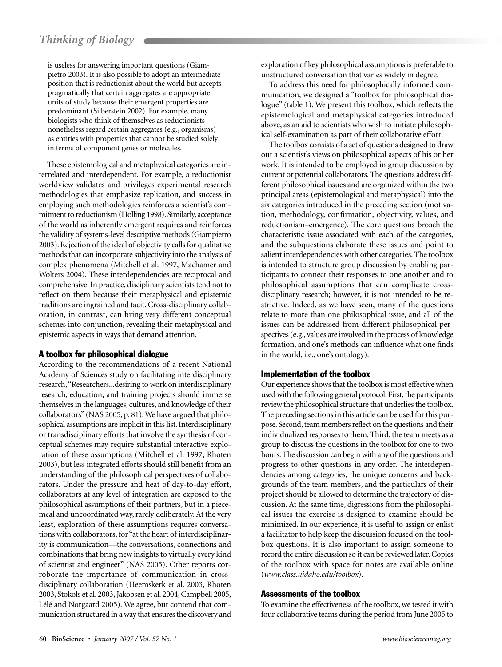is useless for answering important questions (Giampietro 2003). It is also possible to adopt an intermediate position that is reductionist about the world but accepts pragmatically that certain aggregates are appropriate units of study because their emergent properties are predominant (Silberstein 2002). For example, many biologists who think of themselves as reductionists nonetheless regard certain aggregates (e.g., organisms) as entities with properties that cannot be studied solely in terms of component genes or molecules.

These epistemological and metaphysical categories are interrelated and interdependent. For example, a reductionist worldview validates and privileges experimental research methodologies that emphasize replication, and success in employing such methodologies reinforces a scientist's commitment to reductionism (Holling 1998). Similarly, acceptance of the world as inherently emergent requires and reinforces the validity of systems-level descriptive methods (Giampietro 2003). Rejection of the ideal of objectivity calls for qualitative methods that can incorporate subjectivity into the analysis of complex phenomena (Mitchell et al. 1997, Machamer and Wolters 2004). These interdependencies are reciprocal and comprehensive. In practice, disciplinary scientists tend not to reflect on them because their metaphysical and epistemic traditions are ingrained and tacit. Cross-disciplinary collaboration, in contrast, can bring very different conceptual schemes into conjunction, revealing their metaphysical and epistemic aspects in ways that demand attention.

## A toolbox for philosophical dialogue

According to the recommendations of a recent National Academy of Sciences study on facilitating interdisciplinary research,"Researchers...desiring to work on interdisciplinary research, education, and training projects should immerse themselves in the languages, cultures, and knowledge of their collaborators" (NAS 2005, p. 81). We have argued that philosophical assumptions are implicit in this list. Interdisciplinary or transdisciplinary efforts that involve the synthesis of conceptual schemes may require substantial interactive exploration of these assumptions (Mitchell et al. 1997, Rhoten 2003), but less integrated efforts should still benefit from an understanding of the philosophical perspectives of collaborators. Under the pressure and heat of day-to-day effort, collaborators at any level of integration are exposed to the philosophical assumptions of their partners, but in a piecemeal and uncoordinated way, rarely deliberately. At the very least, exploration of these assumptions requires conversations with collaborators, for "at the heart of interdisciplinarity is communication—the conversations, connections and combinations that bring new insights to virtually every kind of scientist and engineer" (NAS 2005). Other reports corroborate the importance of communication in crossdisciplinary collaboration (Heemskerk et al. 2003, Rhoten 2003, Stokols et al. 2003, Jakobsen et al. 2004, Campbell 2005, Lélé and Norgaard 2005). We agree, but contend that communication structured in a way that ensures the discovery and exploration of key philosophical assumptions is preferable to unstructured conversation that varies widely in degree.

To address this need for philosophically informed communication, we designed a "toolbox for philosophical dialogue" (table 1). We present this toolbox, which reflects the epistemological and metaphysical categories introduced above, as an aid to scientists who wish to initiate philosophical self-examination as part of their collaborative effort.

The toolbox consists of a set of questions designed to draw out a scientist's views on philosophical aspects of his or her work. It is intended to be employed in group discussion by current or potential collaborators. The questions address different philosophical issues and are organized within the two principal areas (epistemological and metaphysical) into the six categories introduced in the preceding section (motivation, methodology, confirmation, objectivity, values, and reductionism–emergence). The core questions broach the characteristic issue associated with each of the categories, and the subquestions elaborate these issues and point to salient interdependencies with other categories. The toolbox is intended to structure group discussion by enabling participants to connect their responses to one another and to philosophical assumptions that can complicate crossdisciplinary research; however, it is not intended to be restrictive. Indeed, as we have seen, many of the questions relate to more than one philosophical issue, and all of the issues can be addressed from different philosophical perspectives (e.g., values are involved in the process of knowledge formation, and one's methods can influence what one finds in the world, i.e., one's ontology).

# Implementation of the toolbox

Our experience shows that the toolbox is most effective when used with the following general protocol. First, the participants review the philosophical structure that underlies the toolbox. The preceding sections in this article can be used for this purpose. Second, team members reflect on the questions and their individualized responses to them. Third, the team meets as a group to discuss the questions in the toolbox for one to two hours. The discussion can begin with any of the questions and progress to other questions in any order. The interdependencies among categories, the unique concerns and backgrounds of the team members, and the particulars of their project should be allowed to determine the trajectory of discussion. At the same time, digressions from the philosophical issues the exercise is designed to examine should be minimized. In our experience, it is useful to assign or enlist a facilitator to help keep the discussion focused on the toolbox questions. It is also important to assign someone to record the entire discussion so it can be reviewed later. Copies of the toolbox with space for notes are available online (*www.class.uidaho.edu/toolbox*).

## Assessments of the toolbox

To examine the effectiveness of the toolbox, we tested it with four collaborative teams during the period from June 2005 to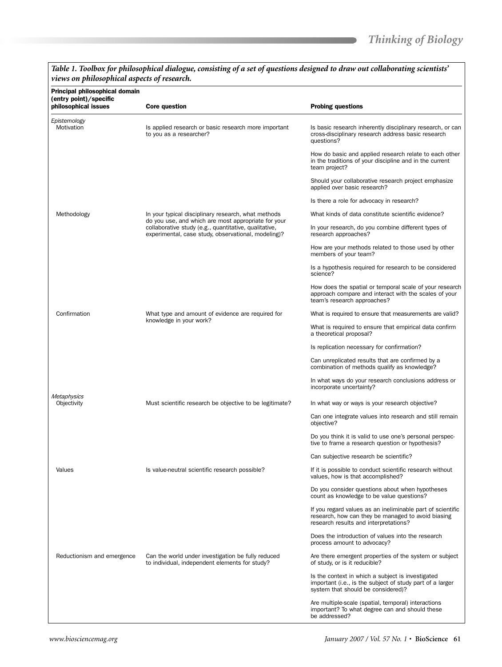| Principal philosophical domain                 |                                                                                                                                                                                                                            |                                                                                                                                                           |  |  |  |  |  |  |
|------------------------------------------------|----------------------------------------------------------------------------------------------------------------------------------------------------------------------------------------------------------------------------|-----------------------------------------------------------------------------------------------------------------------------------------------------------|--|--|--|--|--|--|
| (entry point)/specific<br>philosophical issues | <b>Core question</b>                                                                                                                                                                                                       | <b>Probing questions</b>                                                                                                                                  |  |  |  |  |  |  |
| Epistemology<br>Motivation                     | Is applied research or basic research more important<br>to you as a researcher?                                                                                                                                            | Is basic research inherently disciplinary research, or can<br>cross-disciplinary research address basic research<br>questions?                            |  |  |  |  |  |  |
|                                                |                                                                                                                                                                                                                            | How do basic and applied research relate to each other<br>in the traditions of your discipline and in the current<br>team project?                        |  |  |  |  |  |  |
|                                                |                                                                                                                                                                                                                            | Should your collaborative research project emphasize<br>applied over basic research?                                                                      |  |  |  |  |  |  |
|                                                |                                                                                                                                                                                                                            | Is there a role for advocacy in research?                                                                                                                 |  |  |  |  |  |  |
| Methodology                                    | In your typical disciplinary research, what methods<br>do you use, and which are most appropriate for your<br>collaborative study (e.g., quantitative, qualitative,<br>experimental, case study, observational, modeling)? | What kinds of data constitute scientific evidence?                                                                                                        |  |  |  |  |  |  |
|                                                |                                                                                                                                                                                                                            | In your research, do you combine different types of<br>research approaches?                                                                               |  |  |  |  |  |  |
|                                                |                                                                                                                                                                                                                            | How are your methods related to those used by other<br>members of your team?                                                                              |  |  |  |  |  |  |
|                                                |                                                                                                                                                                                                                            | Is a hypothesis required for research to be considered<br>science?                                                                                        |  |  |  |  |  |  |
|                                                |                                                                                                                                                                                                                            | How does the spatial or temporal scale of your research<br>approach compare and interact with the scales of your<br>team's research approaches?           |  |  |  |  |  |  |
| Confirmation                                   | What type and amount of evidence are required for<br>knowledge in your work?                                                                                                                                               | What is required to ensure that measurements are valid?                                                                                                   |  |  |  |  |  |  |
|                                                |                                                                                                                                                                                                                            | What is required to ensure that empirical data confirm<br>a theoretical proposal?                                                                         |  |  |  |  |  |  |
|                                                |                                                                                                                                                                                                                            | Is replication necessary for confirmation?                                                                                                                |  |  |  |  |  |  |
|                                                |                                                                                                                                                                                                                            | Can unreplicated results that are confirmed by a<br>combination of methods qualify as knowledge?                                                          |  |  |  |  |  |  |
|                                                |                                                                                                                                                                                                                            | In what ways do your research conclusions address or<br>incorporate uncertainty?                                                                          |  |  |  |  |  |  |
| Metaphysics<br>Objectivity                     | Must scientific research be objective to be legitimate?                                                                                                                                                                    | In what way or ways is your research objective?                                                                                                           |  |  |  |  |  |  |
|                                                |                                                                                                                                                                                                                            | Can one integrate values into research and still remain<br>objective?                                                                                     |  |  |  |  |  |  |
|                                                |                                                                                                                                                                                                                            | Do you think it is valid to use one's personal perspec-<br>tive to frame a research question or hypothesis?                                               |  |  |  |  |  |  |
|                                                |                                                                                                                                                                                                                            | Can subjective research be scientific?                                                                                                                    |  |  |  |  |  |  |
| Values                                         | Is value-neutral scientific research possible?                                                                                                                                                                             | If it is possible to conduct scientific research without<br>values, how is that accomplished?                                                             |  |  |  |  |  |  |
|                                                |                                                                                                                                                                                                                            | Do you consider questions about when hypotheses<br>count as knowledge to be value questions?                                                              |  |  |  |  |  |  |
|                                                |                                                                                                                                                                                                                            | If you regard values as an ineliminable part of scientific<br>research, how can they be managed to avoid biasing<br>research results and interpretations? |  |  |  |  |  |  |
|                                                |                                                                                                                                                                                                                            | Does the introduction of values into the research<br>process amount to advocacy?                                                                          |  |  |  |  |  |  |
| Reductionism and emergence                     | Can the world under investigation be fully reduced<br>to individual, independent elements for study?                                                                                                                       | Are there emergent properties of the system or subject<br>of study, or is it reducible?                                                                   |  |  |  |  |  |  |
|                                                |                                                                                                                                                                                                                            | Is the context in which a subject is investigated<br>important (i.e., is the subject of study part of a larger<br>system that should be considered)?      |  |  |  |  |  |  |
|                                                |                                                                                                                                                                                                                            | Are multiple-scale (spatial, temporal) interactions<br>important? To what degree can and should these<br>be addressed?                                    |  |  |  |  |  |  |

*Table 1. Toolbox for philosophical dialogue, consisting of a set of questions designed to draw out collaborating scientists' views on philosophical aspects of research.*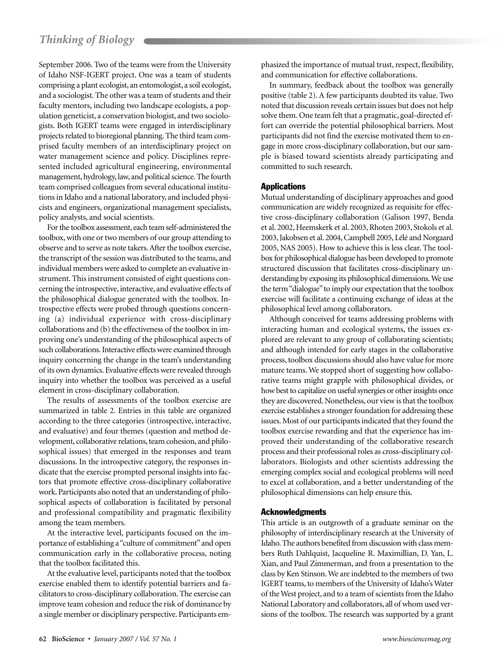September 2006. Two of the teams were from the University of Idaho NSF-IGERT project. One was a team of students comprising a plant ecologist, an entomologist, a soil ecologist, and a sociologist. The other was a team of students and their faculty mentors, including two landscape ecologists, a population geneticist, a conservation biologist, and two sociologists. Both IGERT teams were engaged in interdisciplinary projects related to bioregional planning. The third team comprised faculty members of an interdisciplinary project on water management science and policy. Disciplines represented included agricultural engineering, environmental management, hydrology, law, and political science. The fourth team comprised colleagues from several educational institutions in Idaho and a national laboratory, and included physicists and engineers, organizational management specialists, policy analysts, and social scientists.

For the toolbox assessment, each team self-administered the toolbox, with one or two members of our group attending to observe and to serve as note takers. After the toolbox exercise, the transcript of the session was distributed to the teams, and individual members were asked to complete an evaluative instrument. This instrument consisted of eight questions concerning the introspective, interactive, and evaluative effects of the philosophical dialogue generated with the toolbox. Introspective effects were probed through questions concerning (a) individual experience with cross-disciplinary collaborations and (b) the effectiveness of the toolbox in improving one's understanding of the philosophical aspects of such collaborations. Interactive effects were examined through inquiry concerning the change in the team's understanding of its own dynamics. Evaluative effects were revealed through inquiry into whether the toolbox was perceived as a useful element in cross-disciplinary collaboration.

The results of assessments of the toolbox exercise are summarized in table 2. Entries in this table are organized according to the three categories (introspective, interactive, and evaluative) and four themes (question and method development, collaborative relations, team cohesion, and philosophical issues) that emerged in the responses and team discussions. In the introspective category, the responses indicate that the exercise prompted personal insights into factors that promote effective cross-disciplinary collaborative work. Participants also noted that an understanding of philosophical aspects of collaboration is facilitated by personal and professional compatibility and pragmatic flexibility among the team members.

At the interactive level, participants focused on the importance of establishing a "culture of commitment"and open communication early in the collaborative process, noting that the toolbox facilitated this.

At the evaluative level, participants noted that the toolbox exercise enabled them to identify potential barriers and facilitators to cross-disciplinary collaboration. The exercise can improve team cohesion and reduce the risk of dominance by a single member or disciplinary perspective. Participants emphasized the importance of mutual trust, respect, flexibility, and communication for effective collaborations.

In summary, feedback about the toolbox was generally positive (table 2). A few participants doubted its value. Two noted that discussion reveals certain issues but does not help solve them. One team felt that a pragmatic, goal-directed effort can override the potential philosophical barriers. Most participants did not find the exercise motivated them to engage in more cross-disciplinary collaboration, but our sample is biased toward scientists already participating and committed to such research.

## **Applications**

Mutual understanding of disciplinary approaches and good communication are widely recognized as requisite for effective cross-disciplinary collaboration (Galison 1997, Benda et al. 2002, Heemskerk et al. 2003, Rhoten 2003, Stokols et al. 2003, Jakobsen et al. 2004, Campbell 2005, Lélé and Norgaard 2005, NAS 2005). How to achieve this is less clear. The toolbox for philosophical dialogue has been developed to promote structured discussion that facilitates cross-disciplinary understanding by exposing its philosophical dimensions.We use the term "dialogue"to imply our expectation that the toolbox exercise will facilitate a continuing exchange of ideas at the philosophical level among collaborators.

Although conceived for teams addressing problems with interacting human and ecological systems, the issues explored are relevant to any group of collaborating scientists; and although intended for early stages in the collaborative process, toolbox discussions should also have value for more mature teams. We stopped short of suggesting how collaborative teams might grapple with philosophical divides, or how best to capitalize on useful synergies or other insights once they are discovered. Nonetheless, our view is that the toolbox exercise establishes a stronger foundation for addressing these issues. Most of our participants indicated that they found the toolbox exercise rewarding and that the experience has improved their understanding of the collaborative research process and their professional roles as cross-disciplinary collaborators. Biologists and other scientists addressing the emerging complex social and ecological problems will need to excel at collaboration, and a better understanding of the philosophical dimensions can help ensure this.

## Acknowledgments

This article is an outgrowth of a graduate seminar on the philosophy of interdisciplinary research at the University of Idaho. The authors benefited from discussion with class members Ruth Dahlquist, Jacqueline R. Maximillian, D. Yan, L. Xian, and Paul Zimmerman, and from a presentation to the class by Ken Stinson. We are indebted to the members of two IGERT teams, to members of the University of Idaho's Water of the West project, and to a team of scientists from the Idaho National Laboratory and collaborators, all of whom used versions of the toolbox. The research was supported by a grant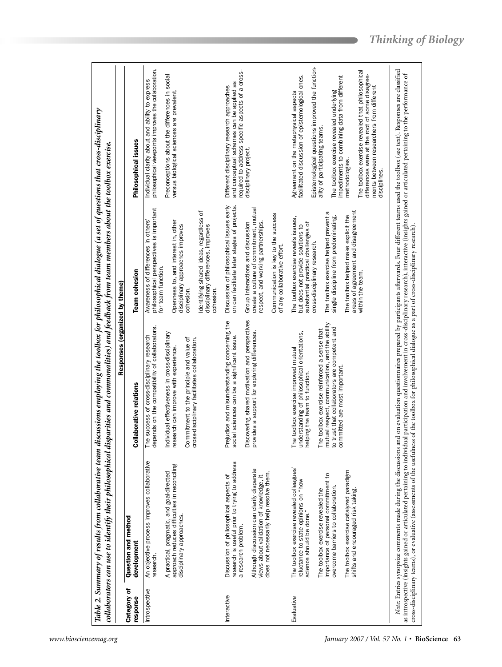|                                                                                                                                                                                                                                                                                                                 |                                | Philosophical issues               | philosophical viewpoints improves the collaboration.<br>Preconceptions about the differences in social<br>Individual clarity about and ability to express<br>versus biological sciences are prevalent.                                                                                     | required to address specific aspects of a cross-<br>and conceptual schemes can be applied as<br>Different disciplinary research approaches<br>disciplinary project.                                                                                                                 | Epistemological questions improved the function-<br>The toolbox exercise revealed that philosophical<br>differences were at the root of some disagree-<br>impediments to combining data from different<br>facilitated discussion of epistemological ones.<br>ments between researchers from different<br>The toolbox exercise revealed underlying<br>Agreement on the metaphysical aspects<br>ality of participating teams.<br>methodologies.<br>disciplines | participation and involvement in cross-disciplinary research), interactive (insights gained or articulated pertaining to the performance of                                                                                                                                                                                                                                          |
|-----------------------------------------------------------------------------------------------------------------------------------------------------------------------------------------------------------------------------------------------------------------------------------------------------------------|--------------------------------|------------------------------------|--------------------------------------------------------------------------------------------------------------------------------------------------------------------------------------------------------------------------------------------------------------------------------------------|-------------------------------------------------------------------------------------------------------------------------------------------------------------------------------------------------------------------------------------------------------------------------------------|--------------------------------------------------------------------------------------------------------------------------------------------------------------------------------------------------------------------------------------------------------------------------------------------------------------------------------------------------------------------------------------------------------------------------------------------------------------|--------------------------------------------------------------------------------------------------------------------------------------------------------------------------------------------------------------------------------------------------------------------------------------------------------------------------------------------------------------------------------------|
| Table 2. Summary of results from collaborative team discussions employing the toolbox for philosophical dialogue (a set of questions that cross-disciplinary<br>collaborators can use to identify their philosophical disparities and commonalities) and feedback from team members about the toolbox exercise. |                                | <b>Team cohesion</b>               | philosophical perspectives is important<br>Identifying shared ideas, regardless of<br>Awareness of differences in others'<br>Openness to, and interest in, other<br>disciplinary approaches improves<br>disciplinary differences, improves<br>for team function.<br>cohesion.<br>cohesion. | Discussion of philosophical issues early<br>on can facilitate later stages of projects.<br>create a culture of commitment, mutual<br>Communication is key to the success<br>Group interactions and discussion<br>respect, and working partnerships.<br>of any collaborative effort. | areas of agreement and disagreement<br>Φ<br>The toolbox helped make explicit the<br>The toolbox exercise helped prevent<br>single discipline from predominating.<br>The toolbox exercise reveals issues,<br>substantial practical challenges of<br>but does not provide solutions to<br>cross-disciplinary research.<br>within the team.                                                                                                                     |                                                                                                                                                                                                                                                                                                                                                                                      |
|                                                                                                                                                                                                                                                                                                                 | Responses (organized by theme) | Collaborative relations            | depends on the compatibility of collaborators.<br>Individual effectiveness in cross-disciplinary<br>The success of cross-disciplinary research<br>Commitment to the principle and value of<br>cross-disciplinary facilitates collaboration.<br>research can improve with experience.       | Discovering shared motivation and perspectives<br>Prejudice and misunderstanding concerning the<br>provides a support for exploring differences.<br>social sciences can be a significant issue.                                                                                     | mutual respect, communication, and the ability<br>to trust that collaborators are competent and<br>The toolbox exercise reinforced a sense that<br>understanding of philosophical orientations,<br>The toolbox exercise improved mutual<br>committed are most important.<br>helping the team to function.                                                                                                                                                    | <i>Note:</i> Entries synopsize comments made during the discussions and on evaluation questionnaires prepared by participants afterwards. Four different teams used the toolbox (see text). Responses are classified<br>cross-disciplinary teams), or evaluative (assessments of the usefulness of the toolbox for philosophical dialogue as a part of cross-disciplinary research). |
|                                                                                                                                                                                                                                                                                                                 |                                | Question and method<br>development | An objective process improves collaborative<br>approach reduces difficulties in reconciling<br>A practical, pragmatic, and goal-directed<br>disciplinary approaches.<br>research.                                                                                                          | research is useful prior to trying to address<br>Although discussion can clarify disparate<br>does not necessarily help resolve them.<br>views about validation of knowledge, it<br>Discussion of philosophical aspects of<br>a research problem.                                   | The toolbox exercise revealed colleagues'<br>The toolbox exercise catalyzed paradigm<br>importance of personal commitment to<br>reluctance to state opinions on "how<br>overcome barriers to collaboration.<br>shifts and encouraged risk taking.<br>The toolbox exercise revealed the<br>science should be done."                                                                                                                                           | as introspective (insights gained or articulated pertaining to individual                                                                                                                                                                                                                                                                                                            |
|                                                                                                                                                                                                                                                                                                                 |                                | Category of<br>response            | Introspective                                                                                                                                                                                                                                                                              | Interactive                                                                                                                                                                                                                                                                         | Evaluative                                                                                                                                                                                                                                                                                                                                                                                                                                                   |                                                                                                                                                                                                                                                                                                                                                                                      |